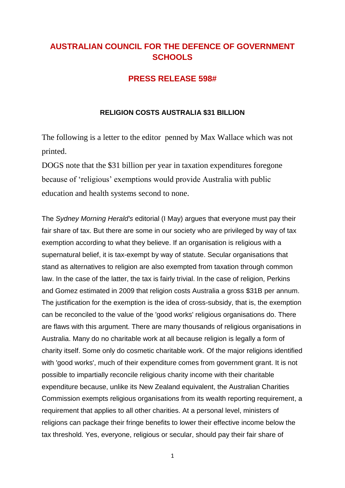# **AUSTRALIAN COUNCIL FOR THE DEFENCE OF GOVERNMENT SCHOOLS**

## **PRESS RELEASE 598#**

#### **RELIGION COSTS AUSTRALIA \$31 BILLION**

The following is a letter to the editor penned by Max Wallace which was not printed.

DOGS note that the \$31 billion per year in taxation expenditures foregone because of 'religious' exemptions would provide Australia with public education and health systems second to none.

The *Sydney Morning Herald's* editorial (I May) argues that everyone must pay their fair share of tax. But there are some in our society who are privileged by way of tax exemption according to what they believe. If an organisation is religious with a supernatural belief, it is tax-exempt by way of statute. Secular organisations that stand as alternatives to religion are also exempted from taxation through common law. In the case of the latter, the tax is fairly trivial. In the case of religion, Perkins and Gomez estimated in 2009 that religion costs Australia a gross \$31B per annum. The justification for the exemption is the idea of cross-subsidy, that is, the exemption can be reconciled to the value of the 'good works' religious organisations do. There are flaws with this argument. There are many thousands of religious organisations in Australia. Many do no charitable work at all because religion is legally a form of charity itself. Some only do cosmetic charitable work. Of the major religions identified with 'good works', much of their expenditure comes from government grant. It is not possible to impartially reconcile religious charity income with their charitable expenditure because, unlike its New Zealand equivalent, the Australian Charities Commission exempts religious organisations from its wealth reporting requirement, a requirement that applies to all other charities. At a personal level, ministers of religions can package their fringe benefits to lower their effective income below the tax threshold. Yes, everyone, religious or secular, should pay their fair share of

1